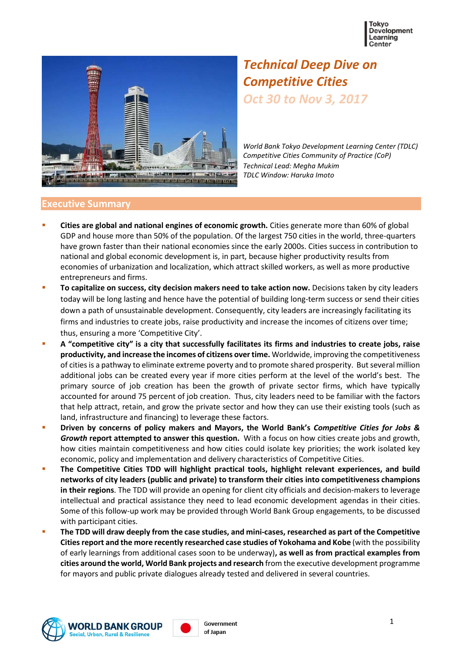



# *Technical Deep Dive on Competitive Cities Oct 30 to Nov 3, 2017*

*World Bank Tokyo Development Learning Center (TDLC) Competitive Cities Community of Practice (CoP) Technical Lead: Megha Mukim TDLC Window: Haruka Imoto*

#### **Executive Summary**

- **Cities are global and national engines of economic growth.** Cities generate more than 60% of global GDP and house more than 50% of the population. Of the largest 750 cities in the world, three-quarters have grown faster than their national economies since the early 2000s. Cities success in contribution to national and global economic development is, in part, because higher productivity results from economies of urbanization and localization, which attract skilled workers, as well as more productive entrepreneurs and firms.
- **To capitalize on success, city decision makers need to take action now.** Decisions taken by city leaders today will be long lasting and hence have the potential of building long-term success or send their cities down a path of unsustainable development. Consequently, city leaders are increasingly facilitating its firms and industries to create jobs, raise productivity and increase the incomes of citizens over time; thus, ensuring a more 'Competitive City'.
- **A "competitive city" is a city that successfully facilitates its firms and industries to create jobs, raise productivity, and increase the incomes of citizens over time.** Worldwide, improving the competitiveness of cities is a pathway to eliminate extreme poverty and to promote shared prosperity. But several million additional jobs can be created every year if more cities perform at the level of the world's best. The primary source of job creation has been the growth of private sector firms, which have typically accounted for around 75 percent of job creation. Thus, city leaders need to be familiar with the factors that help attract, retain, and grow the private sector and how they can use their existing tools (such as land, infrastructure and financing) to leverage these factors.
- **Driven by concerns of policy makers and Mayors, the World Bank's** *Competitive Cities for Jobs & Growth* **report attempted to answer this question.** With a focus on how cities create jobs and growth, how cities maintain competitiveness and how cities could isolate key priorities; the work isolated key economic, policy and implementation and delivery characteristics of Competitive Cities.
- **The Competitive Cities TDD will highlight practical tools, highlight relevant experiences, and build networks of city leaders (public and private) to transform their cities into competitiveness champions in their regions**. The TDD will provide an opening for client city officials and decision-makers to leverage intellectual and practical assistance they need to lead economic development agendas in their cities. Some of this follow-up work may be provided through World Bank Group engagements, to be discussed with participant cities.
- **The TDD will draw deeply from the case studies, and mini-cases, researched as part of the Competitive Cities report and the more recently researched case studies of Yokohama and Kobe** (with the possibility of early learnings from additional cases soon to be underway)**, as well as from practical examples from cities around the world, World Bank projects and research** from the executive development programme for mayors and public private dialogues already tested and delivered in several countries.



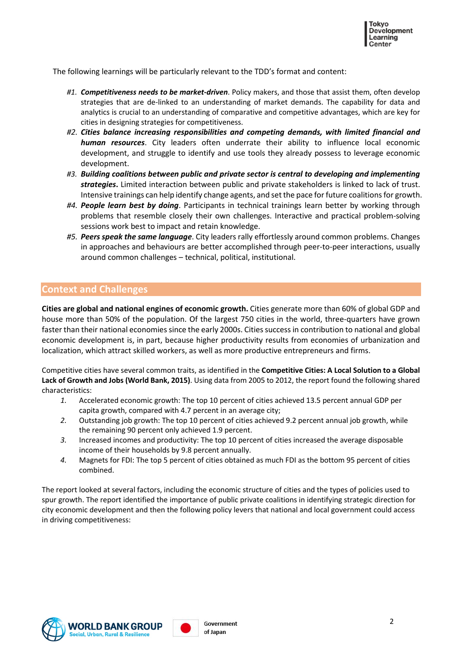The following learnings will be particularly relevant to the TDD's format and content:

- *#1. Competitiveness needs to be market-driven*. Policy makers, and those that assist them, often develop strategies that are de-linked to an understanding of market demands. The capability for data and analytics is crucial to an understanding of comparative and competitive advantages, which are key for cities in designing strategies for competitiveness.
- *#2. Cities balance increasing responsibilities and competing demands, with limited financial and human resources*. City leaders often underrate their ability to influence local economic development, and struggle to identify and use tools they already possess to leverage economic development.
- *#3. Building coalitions between public and private sector is central to developing and implementing strategies***.** Limited interaction between public and private stakeholders is linked to lack of trust. Intensive trainings can help identify change agents, and set the pace for future coalitions for growth.
- *#4. People learn best by doing*. Participants in technical trainings learn better by working through problems that resemble closely their own challenges. Interactive and practical problem-solving sessions work best to impact and retain knowledge.
- *#5. Peers speak the same language*. City leaders rally effortlessly around common problems. Changes in approaches and behaviours are better accomplished through peer-to-peer interactions, usually around common challenges – technical, political, institutional.

#### **Context and Challenges**

**Cities are global and national engines of economic growth.** Cities generate more than 60% of global GDP and house more than 50% of the population. Of the largest 750 cities in the world, three-quarters have grown faster than their national economies since the early 2000s. Cities success in contribution to national and global economic development is, in part, because higher productivity results from economies of urbanization and localization, which attract skilled workers, as well as more productive entrepreneurs and firms.

Competitive cities have several common traits, as identified in the **Competitive Cities: A Local Solution to a Global Lack of Growth and Jobs (World Bank, 2015)**. Using data from 2005 to 2012, the report found the following shared characteristics:

- *1.* Accelerated economic growth: The top 10 percent of cities achieved 13.5 percent annual GDP per capita growth, compared with 4.7 percent in an average city;
- *2.* Outstanding job growth: The top 10 percent of cities achieved 9.2 percent annual job growth, while the remaining 90 percent only achieved 1.9 percent.
- *3.* Increased incomes and productivity: The top 10 percent of cities increased the average disposable income of their households by 9.8 percent annually.
- *4.* Magnets for FDI: The top 5 percent of cities obtained as much FDI as the bottom 95 percent of cities combined.

The report looked at several factors, including the economic structure of cities and the types of policies used to spur growth. The report identified the importance of public private coalitions in identifying strategic direction for city economic development and then the following policy levers that national and local government could access in driving competitiveness:



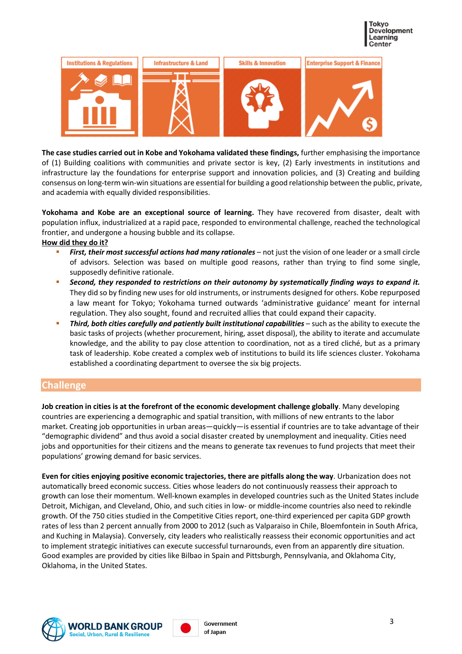



**The case studies carried out in Kobe and Yokohama validated these findings,** further emphasising the importance of (1) Building coalitions with communities and private sector is key, (2) Early investments in institutions and infrastructure lay the foundations for enterprise support and innovation policies, and (3) Creating and building consensus on long-term win-win situations are essential for building a good relationship between the public, private, and academia with equally divided responsibilities.

**Yokohama and Kobe are an exceptional source of learning.** They have recovered from disaster, dealt with population influx, industrialized at a rapid pace, responded to environmental challenge, reached the technological frontier, and undergone a housing bubble and its collapse.

#### **How did they do it?**

- *First, their most successful actions had many rationales* not just the vision of one leader or a small circle of advisors. Selection was based on multiple good reasons, rather than trying to find some single, supposedly definitive rationale.
- *Second, they responded to restrictions on their autonomy by systematically finding ways to expand it.* They did so by finding new uses for old instruments, or instruments designed for others. Kobe repurposed a law meant for Tokyo; Yokohama turned outwards 'administrative guidance' meant for internal regulation. They also sought, found and recruited allies that could expand their capacity.
- *Third, both cities carefully and patiently built institutional capabilities* such as the ability to execute the basic tasks of projects (whether procurement, hiring, asset disposal), the ability to iterate and accumulate knowledge, and the ability to pay close attention to coordination, not as a tired cliché, but as a primary task of leadership. Kobe created a complex web of institutions to build its life sciences cluster. Yokohama established a coordinating department to oversee the six big projects.

#### **Challenge**

**Job creation in cities is at the forefront of the economic development challenge globally**. Many developing countries are experiencing a demographic and spatial transition, with millions of new entrants to the labor market. Creating job opportunities in urban areas—quickly—is essential if countries are to take advantage of their "demographic dividend" and thus avoid a social disaster created by unemployment and inequality. Cities need jobs and opportunities for their citizens and the means to generate tax revenues to fund projects that meet their populations' growing demand for basic services.

**Even for cities enjoying positive economic trajectories, there are pitfalls along the way**. Urbanization does not automatically breed economic success. Cities whose leaders do not continuously reassess their approach to growth can lose their momentum. Well-known examples in developed countries such as the United States include Detroit, Michigan, and Cleveland, Ohio, and such cities in low- or middle-income countries also need to rekindle growth. Of the 750 cities studied in the Competitive Cities report, one-third experienced per capita GDP growth rates of less than 2 percent annually from 2000 to 2012 (such as Valparaiso in Chile, Bloemfontein in South Africa, and Kuching in Malaysia). Conversely, city leaders who realistically reassess their economic opportunities and act to implement strategic initiatives can execute successful turnarounds, even from an apparently dire situation. Good examples are provided by cities like Bilbao in Spain and Pittsburgh, Pennsylvania, and Oklahoma City, Oklahoma, in the United States.



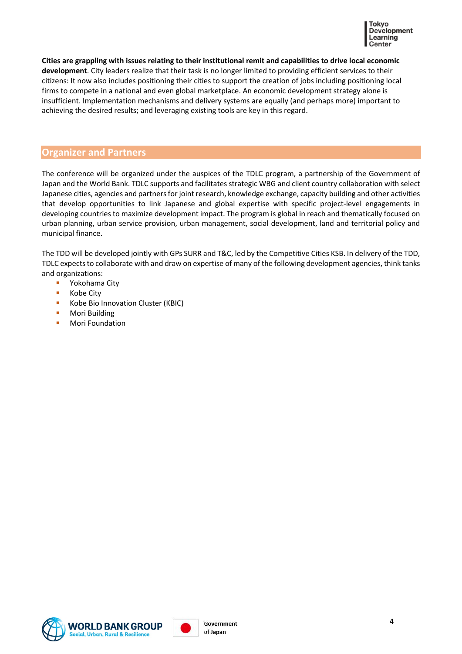

**Cities are grappling with issues relating to their institutional remit and capabilities to drive local economic development**. City leaders realize that their task is no longer limited to providing efficient services to their citizens: It now also includes positioning their cities to support the creation of jobs including positioning local firms to compete in a national and even global marketplace. An economic development strategy alone is insufficient. Implementation mechanisms and delivery systems are equally (and perhaps more) important to achieving the desired results; and leveraging existing tools are key in this regard.

#### **Organizer and Partners**

The conference will be organized under the auspices of the TDLC program, a partnership of the Government of Japan and the World Bank. TDLC supports and facilitates strategic WBG and client country collaboration with select Japanese cities, agencies and partners for joint research, knowledge exchange, capacity building and other activities that develop opportunities to link Japanese and global expertise with specific project-level engagements in developing countries to maximize development impact. The program is global in reach and thematically focused on urban planning, urban service provision, urban management, social development, land and territorial policy and municipal finance.

The TDD will be developed jointly with GPs SURR and T&C, led by the Competitive Cities KSB. In delivery of the TDD, TDLC expects to collaborate with and draw on expertise of many of the following development agencies, think tanks and organizations:

- Yokohama City
- Kobe City
- **Kobe Bio Innovation Cluster (KBIC)**
- **Mori Building**
- Mori Foundation



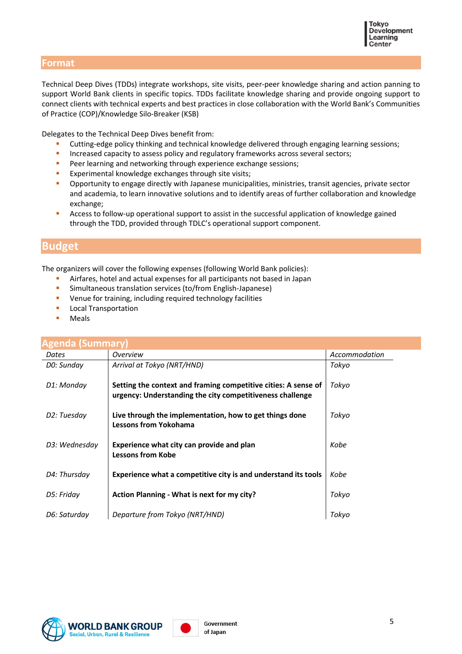#### **Format**

Technical Deep Dives (TDDs) integrate workshops, site visits, peer-peer knowledge sharing and action panning to support World Bank clients in specific topics. TDDs facilitate knowledge sharing and provide ongoing support to connect clients with technical experts and best practices in close collaboration with the World Bank's Communities of Practice (COP)/Knowledge Silo-Breaker (KSB)

Delegates to the Technical Deep Dives benefit from:

- Cutting-edge policy thinking and technical knowledge delivered through engaging learning sessions;
- Increased capacity to assess policy and regulatory frameworks across several sectors;
- **Peer learning and networking through experience exchange sessions;**
- **Experimental knowledge exchanges through site visits;**
- Opportunity to engage directly with Japanese municipalities, ministries, transit agencies, private sector and academia, to learn innovative solutions and to identify areas of further collaboration and knowledge exchange;
- **Access to follow-up operational support to assist in the successful application of knowledge gained** through the TDD, provided through TDLC's operational support component.

### **Budget**

The organizers will cover the following expenses (following World Bank policies):

- Airfares, hotel and actual expenses for all participants not based in Japan
- Simultaneous translation services (to/from English-Japanese)
- **•** Venue for training, including required technology facilities
- Local Transportation
- **Meals**

| <b>Agenda (Summary)</b> |                                                                                                                             |               |  |
|-------------------------|-----------------------------------------------------------------------------------------------------------------------------|---------------|--|
| Dates                   | <i><b>Overview</b></i>                                                                                                      | Accommodation |  |
| DO: Sunday              | Arrival at Tokyo (NRT/HND)                                                                                                  | Tokyo         |  |
| D1: Monday              | Setting the context and framing competitive cities: A sense of<br>urgency: Understanding the city competitiveness challenge | Tokyo         |  |
| D2: Tuesday             | Live through the implementation, how to get things done<br><b>Lessons from Yokohama</b>                                     | Tokvo         |  |
| D3: Wednesday           | Experience what city can provide and plan<br><b>Lessons from Kobe</b>                                                       | Kobe          |  |
| D4: Thursday            | Experience what a competitive city is and understand its tools                                                              | Kobe          |  |
| D5: Friday              | Action Planning - What is next for my city?                                                                                 | Tokyo         |  |
| D6: Saturday            | Departure from Tokyo (NRT/HND)                                                                                              | Tokvo         |  |



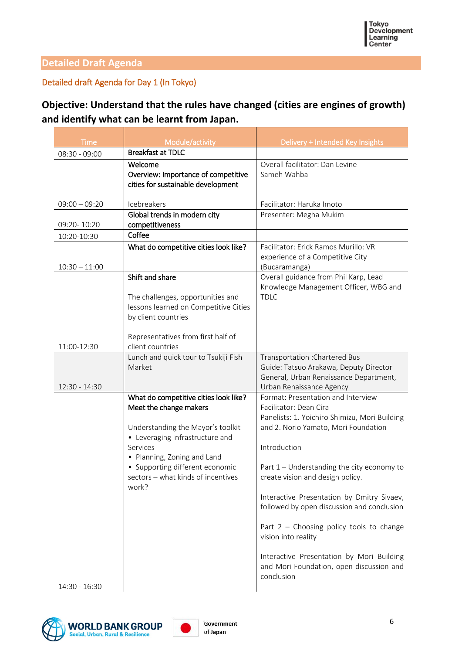### **Detailed Draft Agenda**

### Detailed draft Agenda for Day 1 (In Tokyo)

# **Objective: Understand that the rules have changed (cities are engines of growth) and identify what can be learnt from Japan.**

| <b>Time</b>     | Module/activity                                                                                                                                                                                                                                                      | Delivery + Intended Key Insights                                                                                                                                                                                                                                                                                                                                                                                                                                                                                                |
|-----------------|----------------------------------------------------------------------------------------------------------------------------------------------------------------------------------------------------------------------------------------------------------------------|---------------------------------------------------------------------------------------------------------------------------------------------------------------------------------------------------------------------------------------------------------------------------------------------------------------------------------------------------------------------------------------------------------------------------------------------------------------------------------------------------------------------------------|
| 08:30 - 09:00   | <b>Breakfast at TDLC</b>                                                                                                                                                                                                                                             |                                                                                                                                                                                                                                                                                                                                                                                                                                                                                                                                 |
|                 | Welcome<br>Overview: Importance of competitive<br>cities for sustainable development                                                                                                                                                                                 | Overall facilitator: Dan Levine<br>Sameh Wahba                                                                                                                                                                                                                                                                                                                                                                                                                                                                                  |
| $09:00 - 09:20$ | Icebreakers                                                                                                                                                                                                                                                          | Facilitator: Haruka Imoto                                                                                                                                                                                                                                                                                                                                                                                                                                                                                                       |
| 09:20-10:20     | Global trends in modern city<br>competitiveness                                                                                                                                                                                                                      | Presenter: Megha Mukim                                                                                                                                                                                                                                                                                                                                                                                                                                                                                                          |
| 10:20-10:30     | Coffee                                                                                                                                                                                                                                                               |                                                                                                                                                                                                                                                                                                                                                                                                                                                                                                                                 |
| $10:30 - 11:00$ | What do competitive cities look like?                                                                                                                                                                                                                                | Facilitator: Erick Ramos Murillo: VR<br>experience of a Competitive City<br>(Bucaramanga)                                                                                                                                                                                                                                                                                                                                                                                                                                       |
| 11:00-12:30     | Shift and share<br>The challenges, opportunities and<br>lessons learned on Competitive Cities<br>by client countries<br>Representatives from first half of<br>client countries                                                                                       | Overall guidance from Phil Karp, Lead<br>Knowledge Management Officer, WBG and<br><b>TDLC</b>                                                                                                                                                                                                                                                                                                                                                                                                                                   |
| 12:30 - 14:30   | Lunch and quick tour to Tsukiji Fish<br>Market                                                                                                                                                                                                                       | Transportation : Chartered Bus<br>Guide: Tatsuo Arakawa, Deputy Director<br>General, Urban Renaissance Department,<br>Urban Renaissance Agency                                                                                                                                                                                                                                                                                                                                                                                  |
| 14:30 - 16:30   | What do competitive cities look like?<br>Meet the change makers<br>Understanding the Mayor's toolkit<br>• Leveraging Infrastructure and<br>Services<br>• Planning, Zoning and Land<br>• Supporting different economic<br>sectors - what kinds of incentives<br>work? | Format: Presentation and Interview<br>Facilitator: Dean Cira<br>Panelists: 1. Yoichiro Shimizu, Mori Building<br>and 2. Norio Yamato, Mori Foundation<br>Introduction<br>Part 1 - Understanding the city economy to<br>create vision and design policy.<br>Interactive Presentation by Dmitry Sivaev,<br>followed by open discussion and conclusion<br>Part $2$ – Choosing policy tools to change<br>vision into reality<br>Interactive Presentation by Mori Building<br>and Mori Foundation, open discussion and<br>conclusion |



6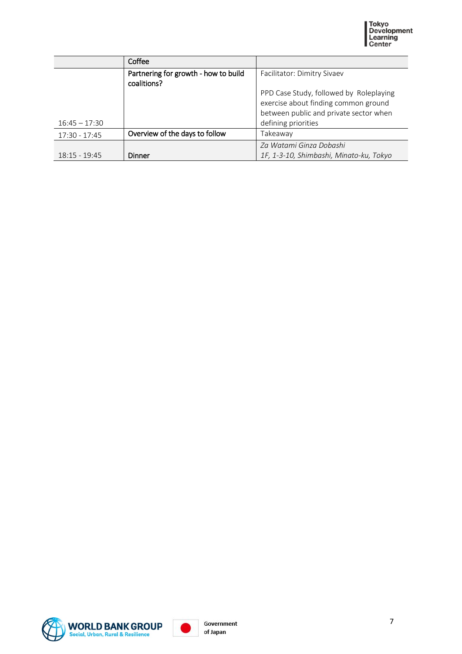

|                 | Coffee                                              |                                         |
|-----------------|-----------------------------------------------------|-----------------------------------------|
|                 | Partnering for growth - how to build<br>coalitions? | Facilitator: Dimitry Sivaev             |
|                 |                                                     | PPD Case Study, followed by Roleplaying |
|                 |                                                     | exercise about finding common ground    |
|                 |                                                     | between public and private sector when  |
| $16:45 - 17:30$ |                                                     | defining priorities                     |
| 17:30 - 17:45   | Overview of the days to follow                      | Takeaway                                |
|                 |                                                     | Za Watami Ginza Dobashi                 |
| $18:15 - 19:45$ | Dinner                                              | 1F, 1-3-10, Shimbashi, Minato-ku, Tokyo |



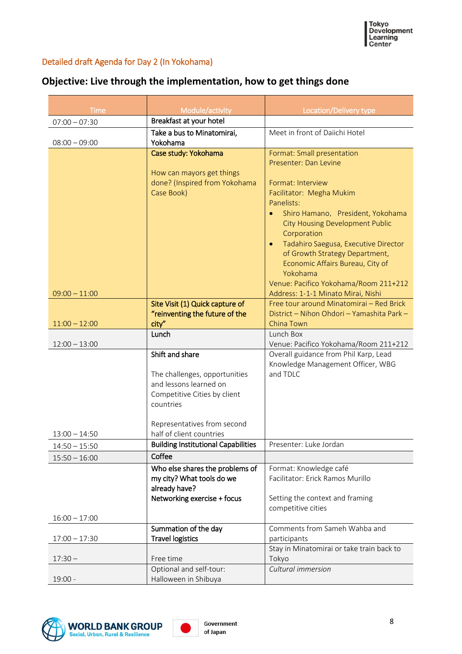### Detailed draft Agenda for Day 2 (In Yokohama)

| <b>Time</b>     | Module/activity                              | Location/Delivery type                                                              |
|-----------------|----------------------------------------------|-------------------------------------------------------------------------------------|
| $07:00 - 07:30$ | Breakfast at your hotel                      |                                                                                     |
|                 | Take a bus to Minatomirai,                   | Meet in front of Daiichi Hotel                                                      |
| $08:00 - 09:00$ | Yokohama                                     |                                                                                     |
|                 | Case study: Yokohama                         | Format: Small presentation                                                          |
|                 |                                              | Presenter: Dan Levine                                                               |
|                 | How can mayors get things                    |                                                                                     |
|                 | done? (Inspired from Yokohama                | Format: Interview                                                                   |
|                 | Case Book)                                   | Facilitator: Megha Mukim                                                            |
|                 |                                              | Panelists:                                                                          |
|                 |                                              | Shiro Hamano, President, Yokohama<br>$\bullet$                                      |
|                 |                                              | <b>City Housing Development Public</b>                                              |
|                 |                                              | Corporation                                                                         |
|                 |                                              | Tadahiro Saegusa, Executive Director<br>$\bullet$<br>of Growth Strategy Department, |
|                 |                                              | Economic Affairs Bureau, City of                                                    |
|                 |                                              | Yokohama                                                                            |
|                 |                                              | Venue: Pacifico Yokohama/Room 211+212                                               |
| $09:00 - 11:00$ |                                              | Address: 1-1-1 Minato Mirai, Nishi                                                  |
|                 | Site Visit (1) Quick capture of              | Free tour around Minatomirai - Red Brick                                            |
|                 | "reinventing the future of the               | District - Nihon Ohdori - Yamashita Park -                                          |
| $11:00 - 12:00$ | city"                                        | China Town                                                                          |
|                 | Lunch                                        | Lunch Box                                                                           |
| $12:00 - 13:00$ | Shift and share                              | Venue: Pacifico Yokohama/Room 211+212<br>Overall guidance from Phil Karp, Lead      |
|                 |                                              | Knowledge Management Officer, WBG                                                   |
|                 | The challenges, opportunities                | and TDLC                                                                            |
|                 | and lessons learned on                       |                                                                                     |
|                 | Competitive Cities by client                 |                                                                                     |
|                 | countries                                    |                                                                                     |
|                 |                                              |                                                                                     |
|                 | Representatives from second                  |                                                                                     |
| $13:00 - 14:50$ | half of client countries                     |                                                                                     |
| $14:50 - 15:50$ | <b>Building Institutional Capabilities</b>   | Presenter: Luke Jordan                                                              |
| $15:50 - 16:00$ | Coffee                                       |                                                                                     |
|                 | Who else shares the problems of              | Format: Knowledge café                                                              |
|                 | my city? What tools do we                    | Facilitator: Erick Ramos Murillo                                                    |
|                 | already have?<br>Networking exercise + focus | Setting the context and framing                                                     |
|                 |                                              | competitive cities                                                                  |
| $16:00 - 17:00$ |                                              |                                                                                     |
|                 | Summation of the day                         | Comments from Sameh Wahba and                                                       |
| $17:00 - 17:30$ | <b>Travel logistics</b>                      | participants                                                                        |
|                 |                                              | Stay in Minatomirai or take train back to                                           |
| $17:30 -$       | Free time                                    | Tokyo                                                                               |
|                 | Optional and self-tour:                      | Cultural immersion                                                                  |
| $19:00 -$       | Halloween in Shibuya                         |                                                                                     |

# **Objective: Live through the implementation, how to get things done**



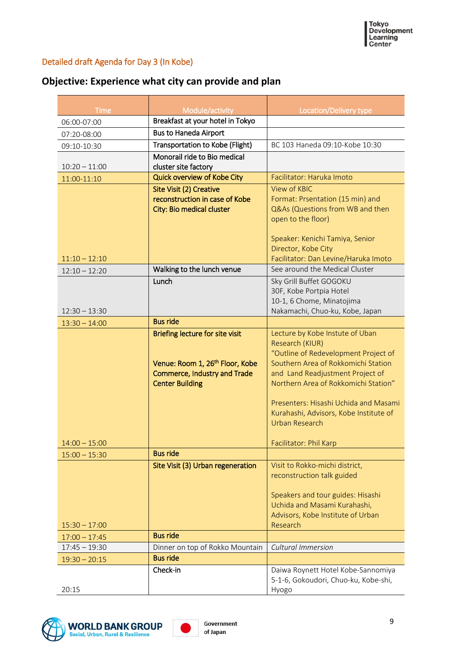### Detailed draft Agenda for Day 3 (In Kobe)

# **Objective: Experience what city can provide and plan**

|                     |                                                     | Location/Delivery type                                                     |
|---------------------|-----------------------------------------------------|----------------------------------------------------------------------------|
| Time<br>06:00-07:00 | Module/activity<br>Breakfast at your hotel in Tokyo |                                                                            |
| 07:20-08:00         | <b>Bus to Haneda Airport</b>                        |                                                                            |
| 09:10-10:30         | Transportation to Kobe (Flight)                     | BC 103 Haneda 09:10-Kobe 10:30                                             |
|                     | Monorail ride to Bio medical                        |                                                                            |
| $10:20 - 11:00$     | cluster site factory                                |                                                                            |
| 11:00-11:10         | Quick overview of Kobe City                         | Facilitator: Haruka Imoto                                                  |
|                     | Site Visit (2) Creative                             | View of KBIC                                                               |
|                     | reconstruction in case of Kobe                      | Format: Prsentation (15 min) and                                           |
|                     | City: Bio medical cluster                           | Q&As (Questions from WB and then                                           |
|                     |                                                     | open to the floor)                                                         |
|                     |                                                     | Speaker: Kenichi Tamiya, Senior                                            |
|                     |                                                     | Director, Kobe City                                                        |
| $11:10 - 12:10$     |                                                     | Facilitator: Dan Levine/Haruka Imoto                                       |
| $12:10 - 12:20$     | Walking to the lunch venue                          | See around the Medical Cluster                                             |
|                     | Lunch                                               | Sky Grill Buffet GOGOKU                                                    |
|                     |                                                     | 30F, Kobe Portpia Hotel                                                    |
| $12:30 - 13:30$     |                                                     | 10-1, 6 Chome, Minatojima<br>Nakamachi, Chuo-ku, Kobe, Japan               |
| $13:30 - 14:00$     | <b>Bus ride</b>                                     |                                                                            |
|                     | <b>Briefing lecture for site visit</b>              | Lecture by Kobe Instute of Uban                                            |
|                     |                                                     | Research (KIUR)                                                            |
|                     |                                                     | "Outline of Redevelopment Project of                                       |
|                     | Venue: Room 1, 26 <sup>th</sup> Floor, Kobe         | Southern Area of Rokkomichi Station                                        |
|                     | <b>Commerce, Industry and Trade</b>                 | and Land Readjustment Project of                                           |
|                     | <b>Center Building</b>                              | Northern Area of Rokkomichi Station"                                       |
|                     |                                                     | Presenters: Hisashi Uchida and Masami                                      |
|                     |                                                     | Kurahashi, Advisors, Kobe Institute of                                     |
|                     |                                                     | <b>Urban Research</b>                                                      |
|                     |                                                     |                                                                            |
| $14:00 - 15:00$     |                                                     | Facilitator: Phil Karp                                                     |
| $15:00 - 15:30$     | <b>Bus ride</b>                                     |                                                                            |
|                     | Site Visit (3) Urban regeneration                   | Visit to Rokko-michi district,<br>reconstruction talk guided               |
|                     |                                                     |                                                                            |
|                     |                                                     | Speakers and tour guides: Hisashi                                          |
|                     |                                                     | Uchida and Masami Kurahashi,                                               |
|                     |                                                     | Advisors, Kobe Institute of Urban                                          |
| $15:30 - 17:00$     |                                                     | Research                                                                   |
| $17:00 - 17:45$     | <b>Bus ride</b>                                     |                                                                            |
| $17:45 - 19:30$     | Dinner on top of Rokko Mountain                     | Cultural Immersion                                                         |
| $19:30 - 20:15$     |                                                     |                                                                            |
|                     | <b>Bus ride</b>                                     |                                                                            |
|                     | Check-in                                            | Daiwa Roynett Hotel Kobe-Sannomiya<br>5-1-6, Gokoudori, Chuo-ku, Kobe-shi, |



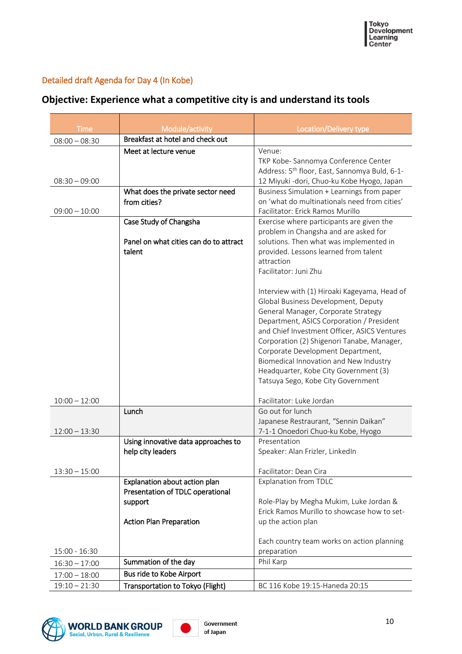### Detailed draft Agenda for Day 4 (In Kobe)

|  |  | Objective: Experience what a competitive city is and understand its tools |  |  |  |
|--|--|---------------------------------------------------------------------------|--|--|--|
|--|--|---------------------------------------------------------------------------|--|--|--|

| Time            | Module/activity                                                   | <b>Location/Delivery type</b>                                                      |  |
|-----------------|-------------------------------------------------------------------|------------------------------------------------------------------------------------|--|
| $08:00 - 08:30$ | Breakfast at hotel and check out                                  |                                                                                    |  |
|                 | Meet at lecture venue                                             | Venue:                                                                             |  |
|                 |                                                                   | TKP Kobe-Sannomya Conference Center                                                |  |
|                 |                                                                   | Address: 5 <sup>th</sup> floor, East, Sannomya Buld, 6-1-                          |  |
| $08:30 - 09:00$ |                                                                   | 12 Miyuki -dori, Chuo-ku Kobe Hyogo, Japan                                         |  |
|                 | What does the private sector need                                 | Business Simulation + Learnings from paper                                         |  |
|                 | from cities?                                                      | on 'what do multinationals need from cities'                                       |  |
| $09:00 - 10:00$ |                                                                   | Facilitator: Erick Ramos Murillo                                                   |  |
|                 | Case Study of Changsha                                            | Exercise where participants are given the<br>problem in Changsha and are asked for |  |
|                 | Panel on what cities can do to attract                            | solutions. Then what was implemented in                                            |  |
|                 | talent                                                            | provided. Lessons learned from talent                                              |  |
|                 |                                                                   | attraction                                                                         |  |
|                 |                                                                   | Facilitator: Juni Zhu                                                              |  |
|                 |                                                                   | Interview with (1) Hiroaki Kageyama, Head of                                       |  |
|                 |                                                                   | Global Business Development, Deputy                                                |  |
|                 |                                                                   | General Manager, Corporate Strategy                                                |  |
|                 |                                                                   | Department, ASICS Corporation / President                                          |  |
|                 |                                                                   | and Chief Investment Officer, ASICS Ventures                                       |  |
|                 |                                                                   | Corporation (2) Shigenori Tanabe, Manager,                                         |  |
|                 |                                                                   | Corporate Development Department,                                                  |  |
|                 |                                                                   | Biomedical Innovation and New Industry<br>Headquarter, Kobe City Government (3)    |  |
|                 |                                                                   | Tatsuya Sego, Kobe City Government                                                 |  |
|                 |                                                                   |                                                                                    |  |
| $10:00 - 12:00$ |                                                                   | Facilitator: Luke Jordan                                                           |  |
|                 | Lunch                                                             | Go out for lunch                                                                   |  |
|                 |                                                                   | Japanese Restraurant, "Sennin Daikan"                                              |  |
| $12:00 - 13:30$ | Using innovative data approaches to                               | 7-1-1 Onoedori Chuo-ku Kobe, Hyogo<br>Presentation                                 |  |
|                 | help city leaders                                                 | Speaker: Alan Frizler, LinkedIn                                                    |  |
|                 |                                                                   |                                                                                    |  |
| $13:30 - 15:00$ |                                                                   | Facilitator: Dean Cira                                                             |  |
|                 | Explanation about action plan<br>Presentation of TDLC operational | <b>Explanation from TDLC</b>                                                       |  |
|                 | support                                                           | Role-Play by Megha Mukim, Luke Jordan &                                            |  |
|                 |                                                                   | Erick Ramos Murillo to showcase how to set-                                        |  |
|                 | <b>Action Plan Preparation</b>                                    | up the action plan                                                                 |  |
|                 |                                                                   |                                                                                    |  |
|                 |                                                                   | Each country team works on action planning                                         |  |
| 15:00 - 16:30   | Summation of the day                                              | preparation<br>Phil Karp                                                           |  |
| $16:30 - 17:00$ | Bus ride to Kobe Airport                                          |                                                                                    |  |
| $17:00 - 18:00$ |                                                                   | BC 116 Kobe 19:15-Haneda 20:15                                                     |  |
| $19:10 - 21:30$ | Transportation to Tokyo (Flight)                                  |                                                                                    |  |